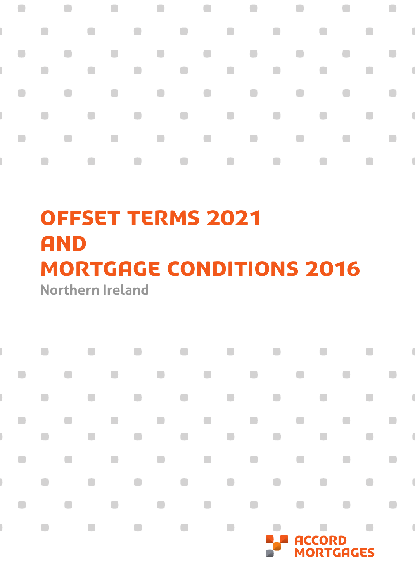

# **Northern Ireland** OFFSET TERMS 2021 **AND** mortgage conditions 2016

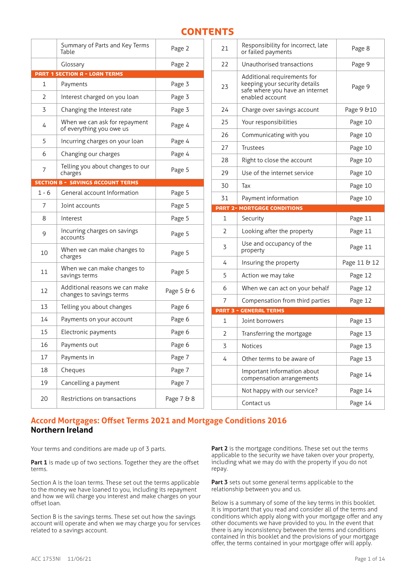# **CONTENTS**

|                | Summary of Parts and Key Terms<br>Table                    | Page 2     |  |
|----------------|------------------------------------------------------------|------------|--|
|                | Glossary                                                   | Page 2     |  |
|                | <b>PART 1 SECTION A - LOAN TERMS</b>                       |            |  |
| 1              | Payments                                                   | Page 3     |  |
| $\overline{2}$ | Page 3<br>Interest charged on you loan                     |            |  |
| 3              | Changing the Interest rate                                 | Page 3     |  |
| 4              | When we can ask for repayment<br>of everything you owe us  | Page 4     |  |
| 5              | Incurring charges on your loan                             | Page 4     |  |
| 6              | Changing our charges                                       | Page 4     |  |
| 7              | Telling you about changes to our<br>Page 5<br>charges      |            |  |
|                | <b>SECTION B - SAVINGS ACCOUNT TERMS</b>                   |            |  |
| $1 - 6$        | General account Information                                | Page 5     |  |
| 7              | Joint accounts                                             | Page 5     |  |
| 8              | Interest                                                   | Page 5     |  |
| 9              | Incurring charges on savings<br>accounts                   | Page 5     |  |
| 10             | When we can make changes to<br>charges                     | Page 5     |  |
| 11             | When we can make changes to<br>savings terms               | Page 5     |  |
| 12             | Additional reasons we can make<br>changes to savings terms | Page 5 & 6 |  |
| 13             | Telling you about changes                                  | Page 6     |  |
| 14             | Payments on your account                                   | Page 6     |  |
| 15             | Electronic payments                                        | Page 6     |  |
| 16             | Payments out                                               | Page 6     |  |
| 17             | Payments in                                                | Page 7     |  |
| 18             | Cheques                                                    | Page 7     |  |
| 19             | Cancelling a payment                                       | Page 7     |  |
| 20             | Restrictions on transactions                               | Page 7 & 8 |  |
|                |                                                            |            |  |

| 21           | Responsibility for incorrect, late<br>Page 8<br>or failed payments                                                 |              |
|--------------|--------------------------------------------------------------------------------------------------------------------|--------------|
| 22           | Unauthorised transactions                                                                                          | Page 9       |
| 23           | Additional requirements for<br>keeping your security details<br>safe where you have an internet<br>enabled account | Page 9       |
| 24           | Charge over savings account                                                                                        | Page 9 & 10  |
| 25           | Your responsibilities                                                                                              | Page 10      |
| 26           | Communicating with you                                                                                             | Page 10      |
| 27           | Trustees                                                                                                           | Page 10      |
| 28           | Right to close the account                                                                                         | Page 10      |
| 29           | Use of the internet service                                                                                        | Page 10      |
| 30           | Тах                                                                                                                | Page 10      |
| 31           | Payment information                                                                                                | Page 10      |
|              | <b>PART 2- MORTGAGE CONDITIONS</b>                                                                                 |              |
| $\mathbf{1}$ | Security                                                                                                           | Page 11      |
|              |                                                                                                                    |              |
| 2            | Looking after the property                                                                                         | Page 11      |
| 3            | Use and occupancy of the<br>property                                                                               | Page 11      |
| 4            | Insuring the property                                                                                              | Page 11 & 12 |
| 5            | Action we may take                                                                                                 | Page 12      |
| 6            | When we can act on your behalf                                                                                     | Page 12      |
| 7            | Compensation from third parties                                                                                    | Page 12      |
|              | <b>PART 3 - GENERAL TERMS</b>                                                                                      |              |
| 1            | Joint borrowers                                                                                                    | Page 13      |
| 2            | Transferring the mortgage                                                                                          | Page 13      |
| 3            | Notices                                                                                                            | Page 13      |
| 4            | Other terms to be aware of                                                                                         | Page 13      |
|              | Important information about<br>compensation arrangements                                                           | Page 14      |
|              | Not happy with our service?                                                                                        | Page 14      |

# **Accord Mortgages: Offset Terms 2021 and Mortgage Conditions 2016 Northern Ireland**

Your terms and conditions are made up of 3 parts.

Part 1 is made up of two sections. Together they are the offset terms.

Section A is the loan terms. These set out the terms applicable to the money we have loaned to you, including its repayment and how we will charge you interest and make charges on your offset loan.

Section B is the savings terms. These set out how the savings account will operate and when we may charge you for services related to a savings account.

**Part 2** is the mortgage conditions. These set out the terms applicable to the security we have taken over your property, including what we may do with the property if you do not repay.

Part 3 sets out some general terms applicable to the relationship between you and us.

Below is a summary of some of the key terms in this booklet. It is important that you read and consider all of the terms and conditions which apply along with your mortgage offer and any other documents we have provided to you. In the event that there is any inconsistency between the terms and conditions contained in this booklet and the provisions of your mortgage offer, the terms contained in your mortgage offer will apply.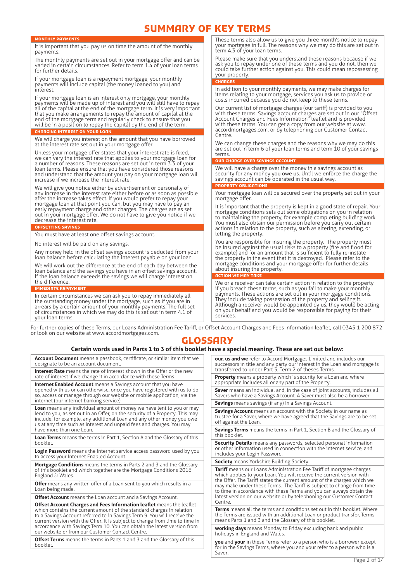# SUMMARY OF KEY TERMS

term 4.3 of your loan terms.

OUR CHARGE OVER SAVINGS ACCOUNT

RTY OBLIGATION

mortgage offer.

letting the property.

about insuring the property. Action we may take

your property. **CHARGES** 

**Centre** 

terms.

#### NTHLY PAY

It is important that you pay us on time the amount of the monthly payments.

The monthly payments are set out in your mortgage offer and can be varied in certain circumstances. Refer to term 1.4 of your loan terms for further details.

If your mortgage loan is a repayment mortgage, your monthly payments will include capital (the money loaned to you) and interest.

If your mortgage loan is an interest only mortgage, your monthly payments will be made up of interest and you will still have to repay all of the capital at the end of the mortgage term. It is very important that you make arrangements to repay the amount of capital at the end of the mortgage term and regularly check to ensure that you will be in a position to repay the capital by the end of the term. **CHARGING INTEREST ON YOUR LOAN** 

We will charge you interest on the amount that you have borrowed at the interest rate set out in your mortgage offer.

Unless your mortgage offer states that your interest rate is fixed, we can vary the interest rate that applies to your mortgage loan for a number of reasons. These reasons are set out in term 3.3 of your loan terms. Please ensure that you have considered those reasons and understand that the amount you pay on your mortgage loan will increase if we increase the interest rate.

We will give you notice either by advertisement or personally of any increase in the interest rate either before or as soon as possible after the increase takes effect. If you would prefer to repay your mortgage loan at that point you can, but you may have to pay an early repayment charge and other charges. The charges are as set out in your mortgage offer. We do not have to give you notice if we decrease the interest rate.

#### OFFSETTING SAVINGS

You must have at least one offset savings account.

No interest will be paid on any savings.

Any money held in the offset savings account is deducted from your loan balance before calculating the interest payable on your loan.

We will work out the difference at the end of each day between the loan balance and the savings you have in an offset savings account. If the loan balance exceeds the savings we will charge interest on the difference.

Immediate repayment

In certain circumstances we can ask you to repay immediately all the outstanding money under the mortgage, such as if you are in arrears by a certain amount of your monthly payments. The full set of circumstances in which we may do this is set out in term 4.1 of your loan terms.

For further copies of these Terms, our Loans Administration Fee Tariff, or Offset Account Charges and Fees Information leaflet, call 0345 1 200 872 or look on our website at www.accordmortgages.com.

services.

# **GLOSSARY**

# **Certain words used in Parts 1 to 3 of this booklet have a special meaning. These are set out below:**

**Account Document** means a passbook, certificate, or similar item that we designate to be an account document.

**Interest Rate** means the rate of interest shown in the Offer or the new rate of interest if we change it in accordance with these Terms.

**Internet Enabled Account** means a Savings account that you have opened with us or can otherwise, once you have registered with us to do so, access or manage through our website or mobile application, via the internet (our internet banking service)

**Loan** means any individual amount of money we have lent to you or may lend to you, as set out in an Offer, on the security of a Property. This may include, for example, any additional Loan and any other money you owe us at any time such as interest and unpaid fees and charges. You may have more than one Loan.

**Loan Terms** means the terms in Part 1, Section A and the Glossary of this booklet.

**Login Password** means the internet service access password used by you to access your Internet Enabled Account.

**Mortgage Conditions** means the terms in Parts 2 and 3 and the Glossary of this booklet and which together are the Mortgage Conditions 2016 England & Wales.

**Offer** means any written offer of a Loan sent to you which results in a Loan being made.

**Offset Account** means the Loan account and a Savings Account.

**Offset Account Charges and Fees Information leaflet** means the leaflet which contains the current amount of the standard charges in relation to a Savings Account referred to in Savings Term 9. You will receive the current version with the Offer. It is subject to change from time to time in accordance with Savings Term 10. You can obtain the latest version from our website or from our Customer Contact Centre.

**Offset Terms** means the terms in Parts 1 and 3 and the Glossary of this booklet.

**our, us and we** refer to Accord Mortgages Limited and includes our successors in title and any party our interest in the Loan and mortgage is transferred to under Part 3, Term 2 of theses Terms.

These terms also allow us to give you three month's notice to repay your mortgage in full. The reasons why we may do this are set out in

Please make sure that you understand these reasons because if we ask you to repay under one of these terms and you do not, then we could take further action against you. This could mean repossessing

In addition to your monthly payments, we may make charges for items relating to your mortgage, services you ask us to provide or

Our current list of mortgage charges (our tariff) is provided to you with these terms. Savings account charges are set out in our "Offset Account Charges and Fees Information" leaflet and is provided with these terms. You can get a copy from our website at www. accordmortgages.com, or by telephoning our Customer Contact

We can change these charges and the reasons why we may do this are set out in term 6 of your loan terms and term 10 of your savings

Your mortgage loan will be secured over the property set out in your

It is important that the property is kept in a good state of repair. Your mortgage conditions sets out some obligations on you in relation to maintaining the property, for example completing building work. You must also obtain our permission before you carry out certain actions in relation to the property, such as altering, extending, or

You are responsible for insuring the property. The property must be insured against the usual risks to a property (fire and flood for example) and for an amount that is sufficient to fully re-instate the property in the event that it is destroyed. Please refer to the mortgage conditions and your mortgage offer for further details

We or a receiver can take certain action in relation to the property if you breach these terms, such as you fail to make your monthly payments. These actions are set out in your mortgage conditions. They include taking possession of the property and selling it. Although a receiver would be appointed by us, they would be acting on your behalf and you would be responsible for paying for their

We will have a charge over the money in a savings account as security for any money you owe us. Until we enforce the charge the

savings account can be operated in the usual way.

costs incurred because you do not keep to these terms.

**Property** means a property which is security for a Loan and where appropriate includes all or any part of the Property.

**Saver** means an individual and, in the case of joint accounts, includes all Savers who have a Savings Account. A Saver must also be a borrower. **Savings** means savings (if any) in a Savings Account.

**Savings Account** means an account with the Society in our name as trustee for a Saver, where we have agreed that the Savings are to be set off against the Loan.

**Savings Terms** means the terms in Part 1, Section B and the Glossary of this booklet.

**Security Details** means any passwords, selected personal information or other information used in connection with the internet service, and includes your Login Password.

**Society** means Yorkshire Building Society.

**Tariff** means our Loans Administration Fee Tariff of mortgage charges which applies to your Loan. You will receive the current version with the Offer. The Tariff states the current amount of the charges which we may make under these Terms. The Tariff is subject to change from time to time in accordance with these Terms and you can always obtain the latest version on our website or by telephoning our Customer Contact Centre.

**Terms** means all the terms and conditions set out in this booklet. Where the Terms are issued with an additional Loan or product transfer, Terms means Parts 1 and 3 and the Glossary of this booklet.

**working days** means Monday to Friday excluding bank and public holidays in England and Wales.

**you** and **your** in these Terms refer to a person who is a borrower except for in the Savings Terms, where you and your refer to a person who is a Saver.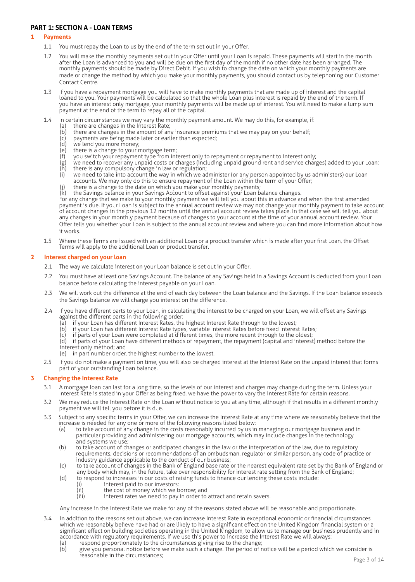# **PART 1: SECTION A - LOAN TERMS**

# **1 Payments**

- 1.1 You must repay the Loan to us by the end of the term set out in your Offer.
- 1.2 You will make the monthly payments set out in your Offer until your Loan is repaid. These payments will start in the month after the Loan is advanced to you and will be due on the first day of the month if no other date has been arranged. The monthly payments should be made by Direct Debit. If you wish to change the date on which your monthly payments are made or change the method by which you make your monthly payments, you should contact us by telephoning our Customer Contact Centre.
- 1.3 If you have a repayment mortgage you will have to make monthly payments that are made up of interest and the capital loaned to you. Your payments will be calculated so that the whole Loan plus interest is repaid by the end of the term. If you have an interest only mortgage, your monthly payments will be made up of interest. You will need to make a lump sum payment at the end of the term to repay all of the capital.
- 1.4 In certain circumstances we may vary the monthly payment amount. We may do this, for example, if:
	- (a) there are changes in the Interest Rate;<br>(b) there are changes in the amount of any
	- (b) there are changes in the amount of any insurance premiums that we may pay on your behalf;
	- (c) payments are being made later or earlier than expected;
		- (d) we lend you more money;
		- (e) we can you more more,<br>
		(e) there is a change to your mortgage term;<br>
		(f) you switch your repayment type from int
		-
		- $(f)$  you switch your repayment type from interest only to repayment or repayment to interest only;<br>(g) we need to recover any unpaid costs or charges (including unpaid ground rent and service charg<br>(h) there is any compul we need to recover any unpaid costs or charges (including unpaid ground rent and service charges) added to your Loan;  $\overline{h}$  there is any compulsory change in law or regulation;<br>(i) we need to take into account the way in which we ac
		- (i) we need to take into account the way in which we administer (or any person appointed by us administers) our Loan accounts. We may only do this to ensure repayment of the Loan within the term of your Offer;
		- (j) there is a change to the date on which you make your monthly payments;
		- (k) the Savings balance in your Savings Account to offset against your Loan balance changes.

For any change that we make to your monthly payment we will tell you about this in advance and when the first amended payment is due. If your Loan is subject to the annual account review we may not change your monthly payment to take account of account changes in the previous 12 months until the annual account review takes place. In that case we will tell you about any changes in your monthly payment because of changes to your account at the time of your annual account review. Your Offer tells you whether your Loan is subject to the annual account review and where you can find more information about how it works.

1.5 Where these Terms are issued with an additional Loan or a product transfer which is made after your first Loan, the Offset Terms will apply to the additional Loan or product transfer.

# **2 Interest charged on your loan**

- 2.1 The way we calculate interest on your Loan balance is set out in your Offer.
- 2.2 You must have at least one Savings Account. The balance of any Savings held in a Savings Account is deducted from your Loan balance before calculating the interest payable on your Loan.
- 2.3 We will work out the difference at the end of each day between the Loan balance and the Savings. If the Loan balance exceeds the Savings balance we will charge you interest on the difference.
- 2.4 If you have different parts to your Loan, in calculating the interest to be charged on your Loan, we will offset any Savings against the different parts in the following order:
	- (a) if your Loan has different Interest Rates, the highest Interest Rate through to the lowest;
	- (b) if your Loan has different Interest Rate types, variable Interest Rates before fixed Interest Rates;
	-
	- (c) if parts of your Loan were completed at different times, the more recent through to the oldest; if parts of your Loan have different methods of repayment, the repayment (capital and interest) method before the interest only method; and
	- (e) in part number order, the highest number to the lowest.
- 2.5 If you do not make a payment on time, you will also be charged interest at the Interest Rate on the unpaid interest that forms part of your outstanding Loan balance.

# **3 Changing the Interest Rate**

- 3.1 A mortgage loan can last for a long time, so the levels of our interest and charges may change during the term. Unless your Interest Rate is stated in your Offer as being fixed, we have the power to vary the Interest Rate for certain reasons.
- 3.2 We may reduce the Interest Rate on the Loan without notice to you at any time, although if that results in a different monthly payment we will tell you before it is due.
- 3.3 Subject to any specific terms in your Offer, we can increase the Interest Rate at any time where we reasonably believe that the increase is needed for any one or more of the following reasons listed below:
	- (a) to take account of any change in the costs reasonably incurred by us in managing our mortgage business and in particular providing and administering our mortgage accounts, which may include changes in the technology and systems we use;
	- (b) to take account of changes or anticipated changes in the law or the interpretation of the law, due to regulatory requirements, decisions or recommendations of an ombudsman, regulator or similar person, any code of practice or industry guidance applicable to the conduct of our business;
	- (c) to take account of changes in the Bank of England base rate or the nearest equivalent rate set by the Bank of England or any body which may, in the future, take over responsibility for interest rate setting from the Bank of England;
	- (d) to respond to increases in our costs of raising funds to finance our lending these costs include:
		-
		- (i) interest paid to our investors:<br>(ii) the cost of money which we b
		- (ii) the cost of money which we borrow; and (iii)  $inters$  therest rates we need to pay in order to interest rates we need to pay in order to attract and retain savers.

Any increase in the Interest Rate we make for any of the reasons stated above will be reasonable and proportionate.

- 3.4 In addition to the reasons set out above, we can increase Interest Rate in exceptional economic or financial circumstances which we reasonably believe have had or are likely to have a significant effect on the United Kingdom financial system or a significant effect on building societies operating in the United Kingdom, to allow us to manage our business prudently and in accordance with regulatory requirements. If we use this power to increase the Interest Rate we will always:
	- (a) respond proportionately to the circumstances giving rise to the change;<br>(b) eive you personal notice before we make such a change. The period of r (b) give you personal notice before we make such a change. The period of notice will be a period which we consider is reasonable in the circumstances;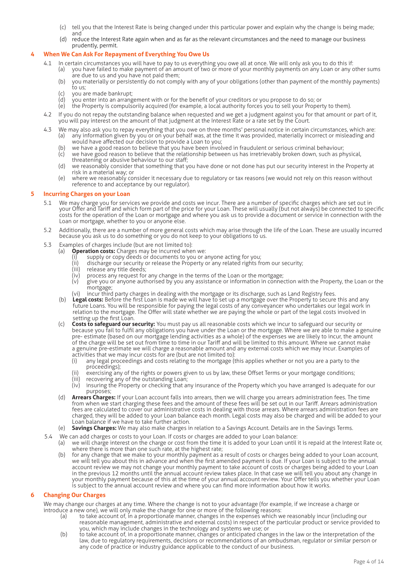- (c) tell you that the Interest Rate is being changed under this particular power and explain why the change is being made; and
- (d) reduce the Interest Rate again when and as far as the relevant circumstances and the need to manage our business prudently, permit.

# **4 When We Can Ask For Repayment of Everything You Owe Us**

- 4.1 In certain circumstances you will have to pay to us everything you owe all at once. We will only ask you to do this if:
	- (a) you have failed to make payment of an amount of two or more of your monthly payments on any Loan or any other sums are due to us and you have not paid them;
	- (b) you materially or persistently do not comply with any of your obligations (other than payment of the monthly payments) to us;
	- (c) you are made bankrupt;<br>(d) you enter into an arrange
	- you enter into an arrangement with or for the benefit of your creditors or you propose to do so; or
	- (e) the Property is compulsorily acquired (for example, a local authority forces you to sell your Property to them).
- 4.2 If you do not repay the outstanding balance when requested and we get a judgment against you for that amount or part of it, you will pay interest on the amount of that judgment at the Interest Rate or a rate set by the Court.
- 4.3 We may also ask you to repay everything that you owe on three months' personal notice in certain circumstances, which are: (a) any information given by you or on your behalf was, at the time it was provided, materially incorrect or misleading and would have affected our decision to provide a Loan to you;
	- (b) we have a good reason to believe that you have been involved in fraudulent or serious criminal behaviour;
	- $(c)$  we have good reason to believe that the relationship between us has irretrievably broken down, such as physical, threatening or abusive behaviour to our staff;
	- (d) we reasonably consider that something that you have done or not done has put our security interest in the Property at risk in a material way; or
	- (e) where we reasonably consider it necessary due to regulatory or tax reasons (we would not rely on this reason without reference to and acceptance by our regulator).

#### **5 Incurring Charges on your Loan**

- 5.1 We may charge you for services we provide and costs we incur. There are a number of specific charges which are set out in your Offer and Tariff and which form part of the price for your Loan. These will usually (but not always) be connected to specific costs for the operation of the Loan or mortgage and where you ask us to provide a document or service in connection with the Loan or mortgage, whether to you or anyone else.
- 5.2 Additionally, there are a number of more general costs which may arise through the life of the Loan. These are usually incurred because you ask us to do something or you do not keep to your obligations to us.
- 5.3 Examples of charges include (but are not limited to):
	- (a) **Operation costs:** Charges may be incurred when we:
		- (i) supply or copy deeds or documents to you or anyone acting for you;
		- (ii) discharge our security or release the Property or any related rights from our security;<br>(iii) release any title deeds;
		- (iii) release any title deeds;<br>(iv) process any request for
		- $(iv)$  process any request for any change in the terms of the Loan or the mortgage;<br>(v) give you or anyone authorised by you any assistance or information in conne
		- give you or anyone authorised by you any assistance or information in connection with the Property, the Loan or the mortgage;
		- (vi) incur third party charges in dealing with the mortgage or its discharge, such as Land Registry fees.
	- (b) **Legal costs:** Before the first Loan is made we will have to set up a mortgage over the Property to secure this and any future Loans. You will be responsible for paying the legal costs of any conveyancer who undertakes our legal work in relation to the mortgage. The Offer will state whether we are paying the whole or part of the legal costs involved in setting up the first Loan.
	- (c) **Costs to safeguard our security:** You must pay us all reasonable costs which we incur to safeguard our security or because you fail to fulfil any obligations you have under the Loan or the mortgage. Where we are able to make a genuine pre- estimate (based on our mortgage lending activities as a whole) of the expenses we are likely to incur, the amount of the charge will be set out from time to time in our Tariff and will be limited to this amount. Where we cannot make a genuine pre-estimate we will charge a reasonable amount and any external costs which we may incur. Examples of
		- activities that we may incur costs for are (but are not limited to):<br>(i) any legal proceedings and costs relating to the mortgage ( any legal proceedings and costs relating to the mortgage (this applies whether or not you are a party to the proceedings);
		- (ii) exercising any of the rights or powers given to us by law, these Offset Terms or your mortgage conditions;<br>(iii) recovering any of the outstanding Loan:
		- recovering any of the outstanding Loan;
		- (iv) insuring the Property or checking that any insurance of the Property which you have arranged is adequate for our purposes;
	- (d) **Arrears Charges:** If your Loan account falls into arrears, then we will charge you arrears administration fees. The time from when we start charging these fees and the amount of these fees will be set out in our Tariff. Arrears administration fees are calculated to cover our administrative costs in dealing with those arrears. Where arrears administration fees are charged, they will be added to your Loan balance each month. Legal costs may also be charged and will be added to your Loan balance if we have to take further action.
	- (e) **Savings Charges:** We may also make charges in relation to a Savings Account. Details are in the Savings Terms.
- 5.4 We can add charges or costs to your Loan. If costs or charges are added to your Loan balance:
	- (a) we will charge interest on the charge or cost from the time it is added to your Loan until it is repaid at the Interest Rate or, where there is more than one such rate, at the highest rate;
	- (b) for any change that we make to your monthly payment as a result of costs or charges being added to your Loan account, we will tell you about this in advance and when the first amended payment is due. If your Loan is subject to the annual account review we may not change your monthly payment to take account of costs or charges being added to your Loan in the previous 12 months until the annual account review takes place. In that case we will tell you about any change in your monthly payment because of this at the time of your annual account review. Your Offer tells you whether your Loan is subject to the annual account review and where you can find more information about how it works.

#### **6 Changing Our Charges**

We may change our charges at any time. Where the change is not to your advantage (for example, if we increase a charge or introduce a new one), we will only make the change for one or more of the following reasons:

- (a) to take account of, in a proportionate manner, changes in the expenses which we reasonably incur (including our reasonable management, administrative and external costs) in respect of the particular product or service provided to you, which may include changes in the technology and systems we use; or
- (b) to take account of, in a proportionate manner, changes or anticipated changes in the law or the interpretation of the law, due to regulatory requirements, decisions or recommendations of an ombudsman, regulator or similar person or any code of practice or industry guidance applicable to the conduct of our business.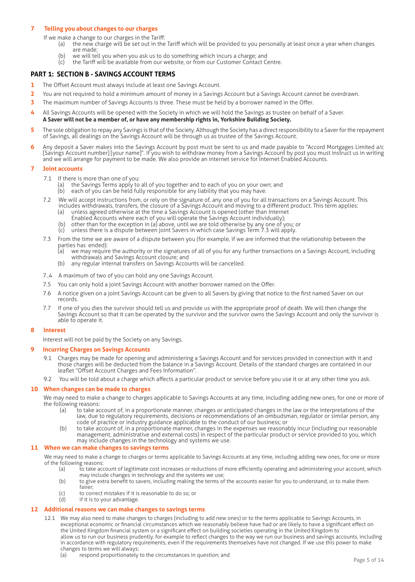#### **7 Telling you about changes to our charges**

If we make a change to our charges in the Tariff:

- (a) the new charge will be set out in the Tariff which will be provided to you personally at least once a year when changes are made;
- (b) we will tell you when you ask us to do something which incurs a charge; and  $(c)$  the Tariff will be available from our website or from our Customer Contact Co
- the Tariff will be available from our website, or from our Customer Contact Centre.

# **PART 1: SECTION B - SAVINGS ACCOUNT TERMS**

- **1** The Offset Account must always include at least one Savings Account.
- **2** You are not required to hold a minimum amount of money in a Savings Account but a Savings Account cannot be overdrawn.
- **3** The maximum number of Savings Accounts is three. These must be held by a borrower named in the Offer.
- **4** All Savings Accounts will be opened with the Society in which we will hold the Savings as trustee on behalf of a Saver. **A Saver will not be a member of, or have any membership rights in, Yorkshire Building Society.**
- **5** The sole obligation to repay any Savings is that of the Society. Although the Society has a direct responsibility to a Saver for the repayment of Savings, all dealings on the Savings Account will be through us as trustee of the Savings Account.
- **6** Any deposit a Saver makes into the Savings Account by post must be sent to us and made payable to "Accord Mortgages Limited a/c [Savings Account number] [your name]". If you wish to withdraw money from a Savings Account by post you must instruct us in writing and we will arrange for payment to be made. We also provide an internet service for Internet Enabled Accounts.

#### **7 Joint accounts**

- 
- 7.1 If there is more than one of you:<br>(a) the Savings Terms apply to (a) the Savings Terms apply to all of you together and to each of you on your own; and
- (b) each of you can be held fully responsible for any liability that you may have.
	- 7.2 We will accept instructions from, or rely on the signature of, any one of you for all transactions on a Savings Account. This includes withdrawals, transfers, the closure of a Savings Account and moving to a different product. This term applies:
		- (a) unless agreed otherwise at the time a Savings Account is opened (other than Internet
		- Enabled Accounts where each of you will operate the Savings Account individually);
- (b) other than for the exception in (a) above, until we are told otherwise by any one of you; or
	- (c) unless there is a dispute between joint Savers in which case Savings Term 7.3 will apply.
	- 7.3 From the time we are aware of a dispute between you (for example, if we are informed that the relationship between the parties has ended):<br>(a) we may requir
		- we may require the authority or the signatures of all of you for any further transactions on a Savings Account, including withdrawals and Savings Account closure; and<br>(b) any regular internal transfers on Savings Accou
		- any regular internal transfers on Savings Accounts will be cancelled.
	- 7..4 A maximum of two of you can hold any one Savings Account.
	- 7.5 You can only hold a joint Savings Account with another borrower named on the Offer.
	- 7.6 A notice given on a joint Savings Account can be given to all Savers by giving that notice to the first named Saver on our records.
	- 7.7 If one of you dies the survivor should tell us and provide us with the appropriate proof of death. We will then change the Savings Account so that it can be operated by the survivor and the survivor owns the Savings Account and only the survivor is able to operate it.

#### **8 Interest**

Interest will not be paid by the Society on any Savings.

#### **9 Incurring Charges on Savings Accounts**

- 9.1 Charges may be made for opening and administering a Savings Account and for services provided in connection with it and those charges will be deducted from the balance in a Savings Account. Details of the standard charges are contained in our leaflet "Offset Account Charges and Fees Information".
- 9.2 You will be told about a charge which affects a particular product or service before you use it or at any other time you ask.

#### **10 When changes can be made to charges**

We may need to make a change to charges applicable to Savings Accounts at any time, including adding new ones, for one or more of the following reasons:

- (a) to take account of, in a proportionate manner, changes or anticipated changes in the law or the interpretations of the law, due to regulatory requirements, decisions or recommendations of an ombudsman, regulator or similar person, any code of practice or industry guidance applicable to the conduct of our business; or
- (b) to take account of, in a proportionate manner, changes in the expenses we reasonably incur (including our reasonable management, administrative and external costs) in respect of the particular product or service provided to you, which may include changes in the technology and systems we use.

### **11 When we can make changes to savings terms**

We may need to make a change to charges or terms applicable to Savings Accounts at any time, including adding new ones, for one or more of the following reasons:<br>(a) to take acc

- to take account of legitimate cost increases or reductions of more efficiently operating and administering your account, which may include changes in technology and the systems we use;<br>(b) to give extra benefit to savers, including making the terms of
	- to give extra benefit to savers, including making the terms of the accounts easier for you to understand, or to make them fairer;
- (c) to correct mistakes if it is reasonable to do so; or  $(d)$  if it is to your advantage.
- if it is to your advantage.

#### **12 Additional reasons we can make changes to savings terms**

- 12.1 We may also need to make changes to charges (including to add new ones) or to the terms applicable to Savings Accounts, in exceptional economic or financial circumstances which we reasonably believe have had or are likely to have a significant effect on the United Kingdom financial system or a significant effect on building societies operating in the United Kingdom to allow us to run our business prudently, for example to reflect changes to the way we run our business and savings accounts, including in accordance with regulatory requirements, even if the requirements themselves have not changed. If we use this power to make changes to terms we will always:
	- (a) respond proportionately to the circumstances in question; and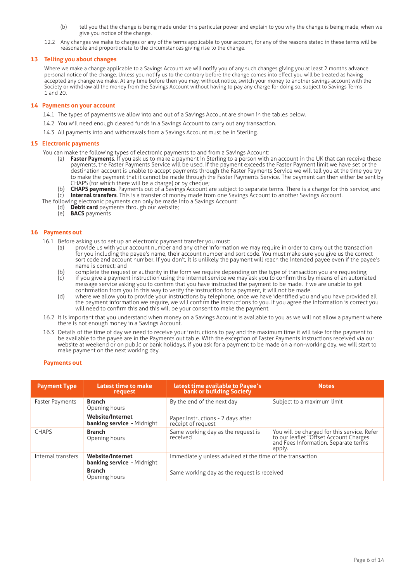- (b) tell you that the change is being made under this particular power and explain to you why the change is being made, when we give you notice of the change.
- 12.2 Any changes we make to charges or any of the terms applicable to your account, for any of the reasons stated in these terms will be reasonable and proportionate to the circumstances giving rise to the change.

#### **13 Telling you about changes**

Where we make a change applicable to a Savings Account we will notify you of any such changes giving you at least 2 months advance personal notice of the change. Unless you notify us to the contrary before the change comes into effect you will be treated as having accepted any change we make. At any time before then you may, without notice, switch your money to another savings account with the Society or withdraw all the money from the Savings Account without having to pay any charge for doing so, subject to Savings Terms 1 and 20.

#### **14 Payments on your account**

- 14.1 The types of payments we allow into and out of a Savings Account are shown in the tables below.
- 14.2 You will need enough cleared funds in a Savings Account to carry out any transaction.
- 14.3 All payments into and withdrawals from a Savings Account must be in Sterling.

#### **15 Electronic payments**

- You can make the following types of electronic payments to and from a Savings Account:
	- (a) **Faster Payments**. If you ask us to make a payment in Sterling to a person with an account in the UK that can receive these payments, the Faster Payments Service will be used. If the payment exceeds the Faster Payment limit we have set or the destination account is unable to accept payments through the Faster Payments Service we will tell you at the time you try to make the payment that it cannot be made through the Faster Payments Service. The payment can then either be sent by CHAPS (for which there will be a charge) or by cheque;
	- (b) **CHAPS payments**. Payments out of a Savings Account are subject to separate terms. There is a charge for this service; and (c) **Internal transfers**. This is a transfer of money made from one Savings Account to another Savings Account.
- The following electronic payments can only be made into a Savings Account:
	- (d) **Debit card** payments through our website;
	- (e) **BACS** payments

#### **16 Payments out**

- 16.1 Before asking us to set up an electronic payment transfer you must:
	- provide us with your account number and any other information we may require in order to carry out the transaction for you including the payee's name, their account number and sort code. You must make sure you give us the correct sort code and account number. If you don't, it is unlikely the payment will reach the intended payee even if the payee's name is correct; and
	- (b) complete the request or authority in the form we require depending on the type of transaction you are requesting; (c) if you give a payment instruction using the internet service we may ask you to confirm this by means of an automated message service asking you to confirm that you have instructed the payment to be made. If we are unable to get confirmation from you in this way to verify the instruction for a payment, it will not be made.
	- (d) where we allow you to provide your instructions by telephone, once we have identified you and you have provided all the payment information we require, we will confirm the instructions to you. If you agree the information is correct you will need to confirm this and this will be your consent to make the payment.
- 16.2 It is important that you understand when money on a Savings Account is available to you as we will not allow a payment where there is not enough money in a Savings Account.
- 16.3 Details of the time of day we need to receive your instructions to pay and the maximum time it will take for the payment to be available to the payee are in the Payments out table. With the exception of Faster Payments instructions received via our website at weekend or on public or bank holidays, if you ask for a payment to be made on a non-working day, we will start to make payment on the next working day.

#### **Payments out**

| <b>Payment Type</b>    | Latest time to make<br>request                               | latest time available to Payee's<br>bank or building Society                                             | <b>Notes</b>                                                                                                                            |  |
|------------------------|--------------------------------------------------------------|----------------------------------------------------------------------------------------------------------|-----------------------------------------------------------------------------------------------------------------------------------------|--|
| <b>Faster Payments</b> | <b>Branch</b><br>Opening hours                               | By the end of the next day                                                                               | Subject to a maximum limit                                                                                                              |  |
|                        | <b>Website/Internet</b><br><b>banking service</b> - Midnight | Paper Instructions - 2 days after<br>receipt of request                                                  |                                                                                                                                         |  |
| <b>CHAPS</b>           | <b>Branch</b><br>Opening hours                               | Same working day as the request is<br>received                                                           | You will be charged for this service. Refer<br>to our leaflet "Offset Account Charges<br>and Fees Information. Separate terms<br>apply. |  |
| Internal transfers     | <b>Website/Internet</b><br><b>banking service</b> - Midnight | Immediately unless advised at the time of the transaction<br>Same working day as the request is received |                                                                                                                                         |  |
|                        | <b>Branch</b><br>Opening hours                               |                                                                                                          |                                                                                                                                         |  |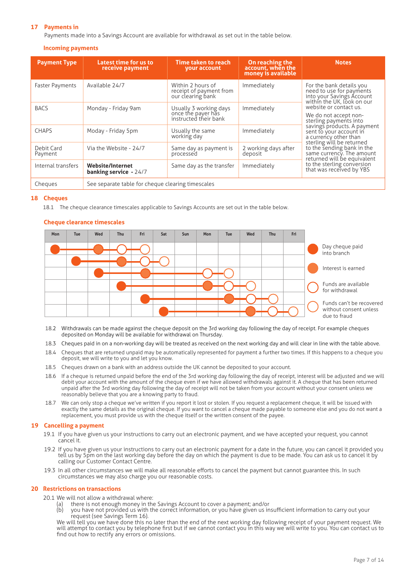# **17 Payments in**

Payments made into a Savings Account are available for withdrawal as set out in the table below.

#### **Incoming payments**

| <b>Payment Type</b>   | Latest time for us to<br>receive payment                 | Time taken to reach<br>your account                                   | On reaching the<br>account, when the<br>money is available | <b>Notes</b>                                                                                                                                                                                                                                                                        |  |
|-----------------------|----------------------------------------------------------|-----------------------------------------------------------------------|------------------------------------------------------------|-------------------------------------------------------------------------------------------------------------------------------------------------------------------------------------------------------------------------------------------------------------------------------------|--|
| Faster Payments       | Available 24/7                                           | Within 2 hours of<br>receipt of payment from<br>our clearing bank     | Immediately                                                | For the bank details you<br>need to use for payments<br>into your Savings Account<br>within the UK, look on our                                                                                                                                                                     |  |
| <b>BACS</b>           | Monday - Friday 9am                                      | Usually 3 working days<br>once the payer has<br>instructed their bank | Immediately                                                | website or contact us.<br>We do not accept non-<br>sterling payments into<br>savings products. A payment<br>sent to your account in<br>a currency other than<br>sterling will be returned<br>to the sending bank in the<br>same currency. The amount<br>returned will be equivalent |  |
| <b>CHAPS</b>          | Moday - Friday 5pm                                       | Usually the same<br>working day                                       | Immediately                                                |                                                                                                                                                                                                                                                                                     |  |
| Debit Card<br>Payment | Via the Website - 24/7                                   | Same day as payment is<br>processed                                   | 2 working days after<br>deposit                            |                                                                                                                                                                                                                                                                                     |  |
| Internal transfers    | <b>Website/Internet</b><br><b>banking service - 24/7</b> | Same day as the transfer                                              | Immediately                                                | to the sterling conversion<br>that was received by YBS                                                                                                                                                                                                                              |  |
| Cheques               | See separate table for cheque clearing timescales        |                                                                       |                                                            |                                                                                                                                                                                                                                                                                     |  |

#### **18 Cheques**

18.1 The cheque clearance timescales applicable to Savings Accounts are set out in the table below.



### **Cheque clearance timescales**

- 18.2 Withdrawals can be made against the cheque deposit on the 3rd working day following the day of receipt. For example cheques deposited on Monday will be available for withdrawal on Thursday.
- 18.3 Cheques paid in on a non-working day will be treated as received on the next working day and will clear in line with the table above.
- 18.4 Cheques that are returned unpaid may be automatically represented for payment a further two times. If this happens to a cheque you deposit, we will write to you and let you know.
- 18.5 Cheques drawn on a bank with an address outside the UK cannot be deposited to your account.
- 18.6 If a cheque is returned unpaid before the end of the 3rd working day following the day of receipt, interest will be adjusted and we will debit your account with the amount of the cheque even if we have allowed withdrawals against it. A cheque that has been returned unpaid after the 3rd working day following the day of receipt will not be taken from your account without your consent unless we reasonably believe that you are a knowing party to fraud.
- 18.7 We can only stop a cheque we've written if you report it lost or stolen. If you request a replacement cheque, it will be issued with exactly the same details as the original cheque. If you want to cancel a cheque made payable to someone else and you do not want a replacement, you must provide us with the cheque itself or the written consent of the payee.

#### **19 Cancelling a payment**

- 19.1 If you have given us your instructions to carry out an electronic payment, and we have accepted your request, you cannot cancel it.
- 19.2 If you have given us your instructions to carry out an electronic payment for a date in the future, you can cancel it provided you tell us by 5pm on the last working day before the day on which the payment is due to be made. You can ask us to cancel it by calling our Customer Contact Centre.
- 19.3 In all other circumstances we will make all reasonable efforts to cancel the payment but cannot guarantee this. In such circumstances we may also charge you our reasonable costs.

#### **20 Restrictions on transactions**

- 20.1 We will not allow a withdrawal where:
	- (a) there is not enough money in the Savings Account to cover a payment; and/or (b) vou have not provided us with the correct information, or you have given us in
		- you have not provided us with the correct information, or you have given us insufficient information to carry out your request (see Savings Term 16).

We will tell you we have done this no later than the end of the next working day following receipt of your payment request. We will attempt to contact you by telephone first but if we cannot contact you in this way we will write to you. You can contact us to find out how to rectify any errors or omissions.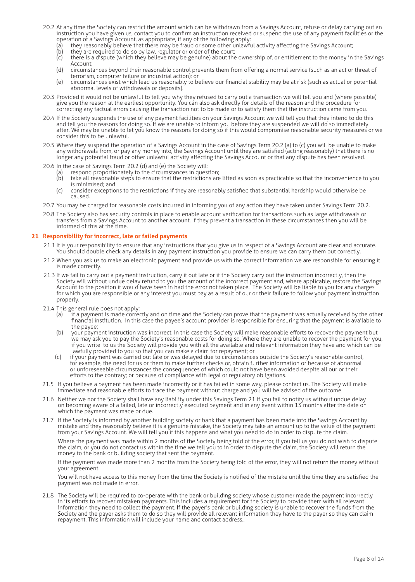- 20.2 At any time the Society can restrict the amount which can be withdrawn from a Savings Account, refuse or delay carrying out an instruction you have given us, contact you to confirm an instruction received or suspend the use of any payment facilities or the operation of a Savings Account, as appropriate, if any of the following apply:
	- (a) they reasonably believe that there may be fraud or some other unlawful activity affecting the Savings Account;<br>(b) they are required to do so by law, regulator or order of the court;
	- (b) they are required to do so by law, regulator or order of the court;<br>(c) there is a dispute (which they believe may be genuine) about the
	- there is a dispute (which they believe may be genuine) about the ownership of, or entitlement to the money in the Savings Account;
	- (d) circumstances beyond their reasonable control prevents them from offering a normal service (such as an act or threat of terrorism, computer failure or industrial action); or
	- (e) circumstances exist which lead us reasonably to believe our financial stability may be at risk (such as actual or potential abnormal levels of withdrawals or deposits).
- 20.3 Provided it would not be unlawful to tell you why they refused to carry out a transaction we will tell you and (where possible) give you the reason at the earliest opportunity. You can also ask directly for details of the reason and the procedure for correcting any factual errors causing the transaction not to be made or to satisfy them that the instruction came from you.
- 20.4 If the Society suspends the use of any payment facilities on your Savings Account we will tell you that they intend to do this and tell you the reasons for doing so. If we are unable to inform you before they are suspended we will do so immediately after. We may be unable to let you know the reasons for doing so if this would compromise reasonable security measures or we consider this to be unlawful.
- 20.5 Where they suspend the operation of a Savings Account in the case of Savings Term 20.2 (a) to (c) you will be unable to make any withdrawals from, or pay any money into, the Savings Account until they are satisfied (acting reasonably) that there is no longer any potential fraud or other unlawful activity affecting the Savings Account or that any dispute has been resolved.
- 20.6 In the case of Savings Term 20.2 (d) and (e) the Society will:
	- (a) respond proportionately to the circumstances in question;<br>(b) take all reasonable steps to ensure that the restrictions are
	- take all reasonable steps to ensure that the restrictions are lifted as soon as practicable so that the inconvenience to you is minimised; and
	- (c) consider exceptions to the restrictions if they are reasonably satisfied that substantial hardship would otherwise be caused.
- 20.7 You may be charged for reasonable costs incurred in informing you of any action they have taken under Savings Term 20.2.
- 20.8 The Society also has security controls in place to enable account verification for transactions such as large withdrawals or transfers from a Savings Account to another account. If they prevent a transaction in these circumstances then you will be informed of this at the time.

#### **21 Responsibility for incorrect, late or failed payments**

- 21.1 It is your responsibility to ensure that any instructions that you give us in respect of a Savings Account are clear and accurate. You should double check any details in any payment instruction you provide to ensure we can carry them out correctly.
- 21.2 When you ask us to make an electronic payment and provide us with the correct information we are responsible for ensuring it is made correctly.
- 21.3 If we fail to carry out a payment instruction, carry it out late or if the Society carry out the instruction incorrectly, then the Society will without undue delay refund to you the amount of the incorrect payment and, where applicable, restore the Savings Account to the position it would have been in had the error not taken place. The Society will be liable to you for any charges for which you are responsible or any interest you must pay as a result of our or their failure to follow your payment instruction properly.
- 21.4 This general rule does not apply:
	- (a) if a payment is made correctly and on time and the Society can prove that the payment was actually received by the other financial institution. In this case the payee's account provider is responsible for ensuring that the payment is available to the payee;
	- (b) your payment instruction was incorrect. In this case the Society will make reasonable efforts to recover the payment but we may ask you to pay the Society's reasonable costs for doing so. Where they are unable to recover the payment for you, if you write to us the Society will provide you with all the available and relevant information they have and which can be lawfully provided to you so that you can make a claim for repayment; or
	- (c) if your payment was carried out late or was delayed due to circumstances outside the Society's reasonable control, for example, the need for us or them to make further checks or, obtain further information or because of abnormal or unforeseeable circumstances the consequences of which could not have been avoided despite all our or their efforts to the contrary; or because of compliance with legal or regulatory obligations.
- 21.5 If you believe a payment has been made incorrectly or it has failed in some way, please contact us. The Society will make immediate and reasonable efforts to trace the payment without charge and you will be advised of the outcome.
- 21.6 Neither we nor the Society shall have any liability under this Savings Term 21 if you fail to notify us without undue delay on becoming aware of a failed, late or incorrectly executed payment and in any event within 13 months after the date on which the payment was made or due.
- 21.7 If the Society is informed by another building society or bank that a payment has been made into the Savings Account by mistake and they reasonably believe it is a genuine mistake, the Society may take an amount up to the value of the payment from your Savings Account. We will tell you if this happens and what you need to do in order to dispute the claim.

Where the payment was made within 2 months of the Society being told of the error, if you tell us you do not wish to dispute the claim, or you do not contact us within the time we tell you to in order to dispute the claim, the Society will return the money to the bank or building society that sent the payment.

If the payment was made more than 2 months from the Society being told of the error, they will not return the money without your agreement.

You will not have access to this money from the time the Society is notified of the mistake until the time they are satisfied the payment was not made in error.

21.8 The Society will be required to co-operate with the bank or building society whose customer made the payment incorrectly in its efforts to recover mistaken payments. This includes a requirement for the Society to provide them with all relevant information they need to collect the payment. If the payer's bank or building society is unable to recover the funds from the Society and the payer asks them to do so they will provide all relevant information they have to the payer so they can claim repayment. This information will include your name and contact address..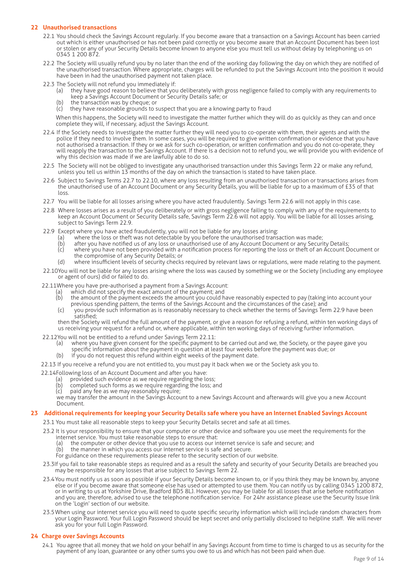## **22 Unauthorised transactions**

- 22.1 You should check the Savings Account regularly. If you become aware that a transaction on a Savings Account has been carried out which is either unauthorised or has not been paid correctly or you become aware that an Account Document has been lost or stolen or any of your Security Details become known to anyone else you must tell us without delay by telephoning us on 0345 1 200 872.
- 22.2 The Society will usually refund you by no later than the end of the working day following the day on which they are notified of the unauthorised transaction. Where appropriate, charges will be refunded to put the Savings Account into the position it would have been in had the unauthorised payment not taken place.
- 22.3 The Society will not refund you immediately if:
	- (a) they have good reason to believe that you deliberately with gross negligence failed to comply with any requirements to keep a Savings Account Document or Security Details safe; or
	- (b) the transaction was by cheque; or  $(c)$  they have reasonable grounds to s
	- they have reasonable grounds to suspect that you are a knowing party to fraud

When this happens, the Society will need to investigate the matter further which they will do as quickly as they can and once complete they will, if necessary, adjust the Savings Account.

- 22.4 If the Society needs to investigate the matter further they will need you to co-operate with them, their agents and with the police if they need to involve them. In some cases, you will be required to give written confirmation or evidence that you have not authorised a transaction. If they or we ask for such co-operation, or written confirmation and you do not co-operate, they will reapply the transaction to the Savings Account. If there is a decision not to refund you, we will provide you with evidence of why this decision was made if we are lawfully able to do so.
- 22.5 The Society will not be obliged to investigate any unauthorised transaction under this Savings Term 22 or make any refund, unless you tell us within 13 months of the day on which the transaction is stated to have taken place.
- 22.6 Subject to Savings Terms 22.7 to 22.10, where any loss resulting from an unauthorised transaction or transactions arises from the unauthorised use of an Account Document or any Security Details, you will be liable for up to a maximum of £35 of that loss.
- 22.7 You will be liable for all losses arising where you have acted fraudulently. Savings Term 22.6 will not apply in this case.
- 22.8 Where losses arises as a result of you deliberately or with gross negligence failing to comply with any of the requirements to keep an Account Document or Security Details safe, Savings Term 22.6 will not apply. You will be liable for all losses arising, subject to Savings Term 22.9.
- 22.9 Except where you have acted fraudulently, you will not be liable for any losses arising:
	- (a) where the loss or theft was not detectable by you before the unauthorised transaction was made;
	- (b) after you have notified us of any loss or unauthorised use of any Account Document or any Security Details;
	- (c) where you have not been provided with a notification process for reporting the loss or theft of an Account Document or the compromise of any Security Details; or
	- (d) where insufficient levels of security checks required by relevant laws or regulations, were made relating to the payment.
- 22.10You will not be liable for any losses arising where the loss was caused by something we or the Society (including any employee or agent of ours) did or failed to do.

22.11Where you have pre-authorised a payment from a Savings Account:

- (a) which did not specify the exact amount of the payment; and
- (b) the amount of the payment exceeds the amount you could have reasonably expected to pay (taking into account your previous spending pattern, the terms of the Savings Account and the circumstances of the case); and
- (c) you provide such information as is reasonably necessary to check whether the terms of Savings Term 22.9 have been satisfied;

then the Society will refund the full amount of the payment, or give a reason for refusing a refund, within ten working days of us receiving your request for a refund or, where applicable, within ten working days of receiving further information.

- 22.12You will not be entitled to a refund under Savings Term 22.11:
	- (a) where you have given consent for the specific payment to be carried out and we, the Society, or the payee gave you specific information about the payment in question at least four weeks before the payment was due; or
	- (b) if you do not request this refund within eight weeks of the payment date.

22.13 If you receive a refund you are not entitled to, you must pay it back when we or the Society ask you to.

- 22.14Following loss of an Account Document and after you have:
	-
	- (a) provided such evidence as we require regarding the loss; a<br>(b) completed such forms as we require regarding the loss; a (b) completed such forms as we require regarding the loss; and (c) paid any fee as we may reasonably require:
	- paid any fee as we may reasonably require;

we may transfer the amount in the Savings Account to a new Savings Account and afterwards will give you a new Account Document.

#### **23 Additional requirements for keeping your Security Details safe where you have an Internet Enabled Savings Account**

23.1 You must take all reasonable steps to keep your Security Details secret and safe at all times.

- 23.2 It is your responsibility to ensure that your computer or other device and software you use meet the requirements for the internet service. You must take reasonable steps to ensure that:
	- (a) the computer or other device that you use to access our internet service is safe and secure; and<br>(b) the manner in which you access our internet service is safe and secure.
	- the manner in which you access our internet service is safe and secure.
	- For guidance on these requirements please refer to the security section of our website.
- 23.3If you fail to take reasonable steps as required and as a result the safety and security of your Security Details are breached you may be responsible for any losses that arise subject to Savings Term 22.
- 23.4You must notify us as soon as possible if your Security Details become known to, or if you think they may be known by, anyone else or if you become aware that someone else has used or attempted to use them. You can notify us by calling 0345 1200 872, or in writing to us at Yorkshire Drive, Bradford BD5 8LJ. However, you may be liable for all losses that arise before notification and you are, therefore, advised to use the telephone notification service. For 24hr assistance please use the Security Issue link on the 'Login' section of our website.
- 23.5When using our internet service you will need to quote specific security information which will include random characters from your Login Password. Your full Login Password should be kept secret and only partially disclosed to helpline staff. We will never ask you for your full Login Password.

#### **24 Charge over Savings Accounts**

24.1 You agree that all money that we hold on your behalf in any Savings Account from time to time is charged to us as security for the payment of any loan, guarantee or any other sums you owe to us and which has not been paid when due.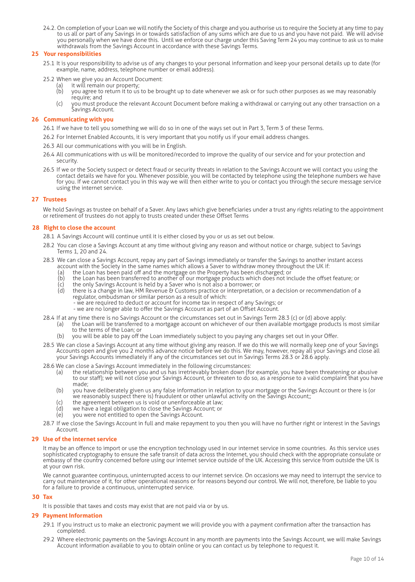24.2. On completion of your Loan we will notify the Society of this charge and you authorise us to require the Society at any time to pay to us all or part of any Savings in or towards satisfaction of any sums which are due to us and you have not paid. We will advise you personally when we have done this. Until we enforce our charge under this Saving Term 24 you may continue to ask us to make withdrawals from the Savings Account in accordance with these Savings Terms.

#### **25 Your responsibilities**

- 25.1 It is your responsibility to advise us of any changes to your personal information and keep your personal details up to date (for example, name, address, telephone number or email address).
- 25.2 When we give you an Account Document:
	- (a) it will remain our property;<br>(b) vou agree to return it to us
	- you agree to return it to us to be brought up to date whenever we ask or for such other purposes as we may reasonably require; and
	- (c) you must produce the relevant Account Document before making a withdrawal or carrying out any other transaction on a Savings Account.

#### **26 Communicating with you**

- 26.1 If we have to tell you something we will do so in one of the ways set out in Part 3, Term 3 of these Terms.
- 26.2 For Internet Enabled Accounts, it is very important that you notify us if your email address changes.
- 26.3 All our communications with you will be in English.
- 26.4 All communications with us will be monitored/recorded to improve the quality of our service and for your protection and security.
- 26.5 If we or the Society suspect or detect fraud or security threats in relation to the Savings Account we will contact you using the contact details we have for you. Whenever possible, you will be contacted by telephone using the telephone numbers we have for you. If we cannot contact you in this way we will then either write to you or contact you through the secure message service using the internet service.

#### **27 Trustees**

We hold Savings as trustee on behalf of a Saver. Any laws which give beneficiaries under a trust any rights relating to the appointment or retirement of trustees do not apply to trusts created under these Offset Terms

#### **28 Right to close the account**

28.1 A Savings Account will continue until it is either closed by you or us as set out below.

- 28.2 You can close a Savings Account at any time without giving any reason and without notice or charge, subject to Savings Terms 1, 20 and 24.
- 28.3 We can close a Savings Account, repay any part of Savings immediately or transfer the Savings to another instant access account with the Society in the same names which allows a Saver to withdraw money throughout the UK if:
	- (a) the Loan has been paid off and the mortgage on the Property has been discharged; or
	- (b) the Loan has been transferred to another of our mortgage products which does not include the offset feature; or
	- (c) the only Savings Account is held by a Saver who is not also a borrower; or
	- there is a change in law, HM Revenue & Customs practice or interpretation, or a decision or recommendation of a regulator, ombudsman or similar person as a result of which:
		- we are required to deduct or account for income tax in respect of any Savings; or
		- we are no longer able to offer the Savings Account as part of an Offset Account.
- 28.4 If at any time there is no Savings Account or the circumstances set out in Savings Term 28.3 (c) or (d) above apply:
	- (a) the Loan will be transferred to a mortgage account on whichever of our then available mortgage products is most similar to the terms of the Loan; or
		- (b) you will be able to pay off the Loan immediately subject to you paying any charges set out in your Offer.
- 28.5 We can close a Savings Account at any time without giving any reason. If we do this we will normally keep one of your Savings Accounts open and give you 2 months advance notice before we do this. We may, however, repay all your Savings and close all your Savings Accounts immediately if any of the circumstances set out in Savings Terms 28.3 or 28.6 apply.
- 28.6 We can close a Savings Account immediately in the following circumstances:
	- (a) the relationship between you and us has irretrievably broken down (for example, you have been threatening or abusive to our staff); we will not close your Savings Account, or threaten to do so, as a response to a valid complaint that you have made;
	- (b) you have deliberately given us any false information in relation to your mortgage or the Savings Account or there is (or we reasonably suspect there is) fraudulent or other unlawful activity on the Savings Account;;
	- (c) the agreement between us is void or unenforceable at law;
	- (d) we have a legal obligation to close the Savings Account; or
	- (e) you were not entitled to open the Savings Account.
- 28.7 If we close the Savings Account in full and make repayment to you then you will have no further right or interest in the Savings Account.

#### **29 Use of the internet service**

It may be an offence to import or use the encryption technology used in our internet service in some countries. As this service uses sophisticated cryptography to ensure the safe transit of data across the Internet, you should check with the appropriate consulate or embassy of the country concerned before using our internet service outside of the UK. Accessing this service from outside the UK is at your own risk.

We cannot guarantee continuous, uninterrupted access to our internet service. On occasions we may need to interrupt the service to carry out maintenance of it, for other operational reasons or for reasons beyond our control. We will not, therefore, be liable to you for a failure to provide a continuous, uninterrupted service.

# **30 Tax**

It is possible that taxes and costs may exist that are not paid via or by us.

# **29 Payment Information**

- 29.1 If you instruct us to make an electronic payment we will provide you with a payment confirmation after the transaction has completed.
- 29.2 Where electronic payments on the Savings Account in any month are payments into the Savings Account, we will make Savings Account information available to you to obtain online or you can contact us by telephone to request it.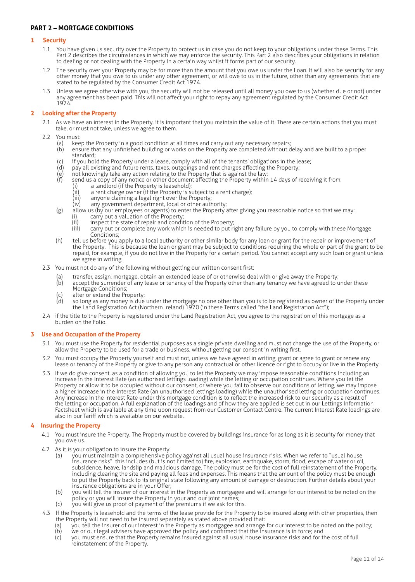# **PART 2 – MORTGAGE CONDITIONS**

# **1 Security**

- 1.1 You have given us security over the Property to protect us in case you do not keep to your obligations under these Terms. This Part 2 describes the circumstances in which we may enforce the security. This Part 2 also describes your obligations in relation to dealing or not dealing with the Property in a certain way whilst it forms part of our security.
- 1.2 The security over your Property may be for more than the amount that you owe us under the Loan. It will also be security for any other money that you owe to us under any other agreement, or will owe to us in the future, other than any agreements that are stated to be regulated by the Consumer Credit Act 1974.
- 1.3 Unless we agree otherwise with you, the security will not be released until all money you owe to us (whether due or not) under any agreement has been paid. This will not affect your right to repay any agreement regulated by the Consumer Credit Act 1974.

# **2 Looking after the Property**

- 2.1 As we have an interest in the Property, it is important that you maintain the value of it. There are certain actions that you must take, or must not take, unless we agree to them.
- 2.2 You must<br>a) kee
	- (a) keep the Property in a good condition at all times and carry out any necessary repairs;<br>(b) ensure that any unfinished building or works on the Property are completed without c
	- (b) ensure that any unfinished building or works on the Property are completed without delay and are built to a proper standard;
	- (c) if you hold the Property under a lease, comply with all of the tenants' obligations in the lease;
	- (d) pay all existing and future rents, taxes, outgoings and rent charges affecting the Property;
	- (e) not knowingly take any action relating to the Property that is against the law;  $(f)$  send us a copy of any notice or other document affecting the Property within 14 days of receiving it from:<br>(i) a landlord (if the Property is leasehold):
		-
		- (i) a landlord (if the Property is leasehold);<br>(ii) a rent charge owner (if the Property is so  $\begin{array}{ll}\n\text{(ii)} & \text{a rent charge owner (if the Property is subject to a rent charge)}; \\
		\text{(iii)} & \text{arvone claiming a legal right over the Property:}\n\end{array}$
		- (iii) anyone claiming a legal right over the Property;<br>(iv) any government department, local or other authors
		- any government department, local or other authority:
	- (g) allow us (by our employees or agents) to enter the Property after giving you reasonable notice so that we may:
		- (i) carry out a valuation of the Property;<br>(ii) inspect the state of repair and condit
		- $(iii)$  inspect the state of repair and condition of the Property;<br> $(iii)$  carry out or complete any work which is needed to put ri carry out or complete any work which is needed to put right any failure by you to comply with these Mortgage Conditions;
	- (h) tell us before you apply to a local authority or other similar body for any loan or grant for the repair or improvement of the Property. This is because the loan or grant may be subject to conditions requiring the whole or part of the grant to be repaid, for example, if you do not live in the Property for a certain period. You cannot accept any such loan or grant unless we agree in writing.
- 2.3 You must not do any of the following without getting our written consent first:
	- (a) transfer, assign, mortgage, obtain an extended lease of or otherwise deal with or give away the Property;<br>(b) accept the surrender of any lease or tenancy of the Property other than any tenancy we have agreed to u
	- accept the surrender of any lease or tenancy of the Property other than any tenancy we have agreed to under these Mortgage Conditions;
	- $(c)$  alter or extend the Property;<br>(d) so long as any money is due
	- (d) so long as any money is due under the mortgage no one other than you is to be registered as owner of the Property under the Land Registration Act (Northern Ireland) 1970 (in these Terms called "the Land Registration Act");
- 2.4 if the title to the Property is registered under the Land Registration Act, you agree to the registration of this mortgage as a burden on the Folio.

#### **3 Use and Occupation of the Property**

- 3.1 You must use the Property for residential purposes as a single private dwelling and must not change the use of the Property, or allow the Property to be used for a trade or business, without getting our consent in writing first.
- 3.2 You must occupy the Property yourself and must not, unless we have agreed in writing, grant or agree to grant or renew any lease or tenancy of the Property or give to any person any contractual or other licence or right to occupy or live in the Property.
- 3.3 If we do give consent, as a condition of allowing you to let the Property we may impose reasonable conditions including an increase in the Interest Rate (an authorised lettings loading) while the letting or occupation continues. Where you let the Property or allow it to be occupied without our consent, or where you fail to observe our conditions of letting, we may impose a higher increase in the Interest Rate (an unauthorised lettings loading) while the unauthorised letting or occupation continues. Any increase in the Interest Rate under this mortgage condition is to reflect the increased risk to our security as a result of the letting or occupation. A full explanation of the loadings and of how they are applied is set out in our Lettings Information Factsheet which is available at any time upon request from our Customer Contact Centre. The current Interest Rate loadings are also in our Tariff which is available on our website.

#### **4 Insuring the Property**

- 4.1 You must insure the Property. The Property must be covered by buildings insurance for as long as it is security for money that you owe us.
- 4.2 As it is your obligation to insure the Property:
	- (a) you must maintain a comprehensive policy against all usual house insurance risks. When we refer to "usual house insurance risks" this includes (but is not limited to) fire, explosion, earthquake, storm, flood, escape of water or oil, subsidence, heave, landslip and malicious damage. The policy must be for the cost of full reinstatement of the Property, including clearing the site and paying all fees and expenses. This means that the amount of the policy must be enough to put the Property back to its original state following any amount of damage or destruction. Further details about your insurance obligations are in your Offer;
	- (b) you will tell the insurer of our interest in the Property as mortgagee and will arrange for our interest to be noted on the policy or you will insure the Property in your and our joint names;
	- (c) you will give us proof of payment of the premiums if we ask for this.
- 4.3 If the Property is leasehold and the terms of the lease provide for the Property to be insured along with other properties, then the Property will not need to be insured separately as stated above provided that:
	- (a) you tell the insurer of our interest in the Property as mortgagee and arrange for our interest to be noted on the policy;<br>(b) we or our legal advisers have approved the policy and confirmed that the insurance is in for
	- $\overrightarrow{b}$  we or our legal advisers have approved the policy and confirmed that the insurance is in force; and  $\overrightarrow{b}$  (c) vou must ensure that the Property remains insured against all usual house insurance risks and for t (c) you must ensure that the Property remains insured against all usual house insurance risks and for the cost of full
		- reinstatement of the Property.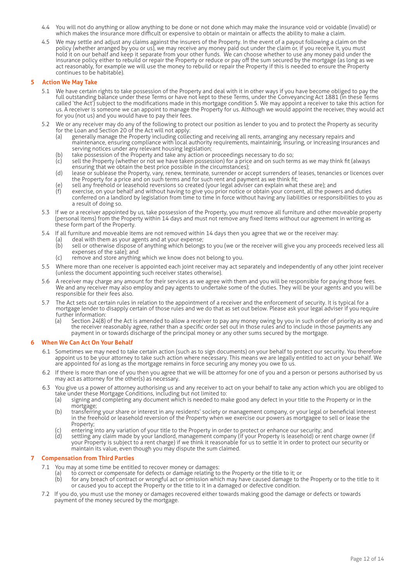- 4.4 You will not do anything or allow anything to be done or not done which may make the insurance void or voidable (invalid) or which makes the insurance more difficult or expensive to obtain or maintain or affects the ability to make a claim.
- 4.5 We may settle and adjust any claims against the insurers of the Property. In the event of a payout following a claim on the policy (whether arranged by you or us), we may receive any money paid out under the claim or, if you receive it, you must hold it on our behalf and keep it separate from your other funds. We can choose whether to use any money paid under the insurance policy either to rebuild or repair the Property or reduce or pay off the sum secured by the mortgage (as long as we act reasonably, for example we will use the money to rebuild or repair the Property if this is needed to ensure the Property continues to be habitable).

#### **5 Action We May Take**

- 5.1 We have certain rights to take possession of the Property and deal with it in other ways if you have become obliged to pay the full outstanding balance under these Terms or have not kept to these Terms, under the Conveyancing Act 1881 (in these Terms called 'the Act') subject to the modifications made in this mortgage condition 5. We may appoint a receiver to take this action for us. A receiver is someone we can appoint to manage the Property for us. Although we would appoint the receiver, they would act for you (not us) and you would have to pay their fees.
- 5.2 We or any receiver may do any of the following to protect our position as lender to you and to protect the Property as security for the Loan and Section 20 of the Act will not apply:
	- (a) generally manage the Property including collecting and receiving all rents, arranging any necessary repairs and maintenance, ensuring compliance with local authority requirements, maintaining, insuring, or increasing insurances and serving notices under any relevant housing legislation;
	- (b) take possession of the Property and take any action or proceedings necessary to do so;<br>(c) sell the Property (whether or not we have taken possession) for a price and on such terr
	- sell the Property (whether or not we have taken possession) for a price and on such terms as we may think fit (always ensuring that we obtain the best price possible in the circumstances);
	- (d) lease or sublease the Property, vary, renew, terminate, surrender or accept surrenders of leases, tenancies or licences over the Property for a price and on such terms and for such rent and payment as we think fit;
	- (e) sell any freehold or leasehold reversions so created (your legal adviser can explain what these are); and<br>(f) exercise, on your behalf and without having to give you prior notice or obtain your consent, all the powe
	- exercise, on your behalf and without having to give you prior notice or obtain your consent, all the powers and duties conferred on a landlord by legislation from time to time in force without having any liabilities or responsibilities to you as a result of doing so.
- 5.3 If we or a receiver appointed by us, take possession of the Property, you must remove all furniture and other moveable property (personal items) from the Property within 14 days and must not remove any fixed items without our agreement in writing as these form part of the Property.
- 5.4 If all furniture and moveable items are not removed within 14 days then you agree that we or the receiver may:
	- (a) deal with them as your agents and at your expense;<br>(b) sell or otherwise dispose of anything which belong;
		- sell or otherwise dispose of anything which belongs to you (we or the receiver will give you any proceeds received less all expenses of the sale); and
		- (c) remove and store anything which we know does not belong to you.
- 5.5 Where more than one receiver is appointed each joint receiver may act separately and independently of any other joint receiver (unless the document appointing such receiver states otherwise).
- 5.6 A receiver may charge any amount for their services as we agree with them and you will be responsible for paying those fees. We and any receiver may also employ and pay agents to undertake some of the duties. They will be your agents and you will be responsible for their fees also.
- 5.7 The Act sets out certain rules in relation to the appointment of a receiver and the enforcement of security. It is typical for a mortgage lender to disapply certain of those rules and we do that as set out below. Please ask your legal adviser if you require further information:
	- (a) Section 24(8) of the Act is amended to allow a receiver to pay any money owing by you in such order of priority as we and the receiver reasonably agree, rather than a specific order set out in those rules and to include in those payments any payment in or towards discharge of the principal money or any other sums secured by the mortgage.

#### **6 When We Can Act On Your Behalf**

- 6.1 Sometimes we may need to take certain action (such as to sign documents) on your behalf to protect our security. You therefore appoint us to be your attorney to take such action where necessary. This means we are legally entitled to act on your behalf. We are appointed for as long as the mortgage remains in force securing any money you owe to us.
- 6.2 If there is more than one of you then you agree that we will be attorney for one of you and a person or persons authorised by us may act as attorney for the other(s) as necessary.
- 6.3 You give us a power of attorney authorising us and any receiver to act on your behalf to take any action which you are obliged to take under these Mortgage Conditions, including but not limited to:
	- (a) signing and completing any document which is needed to make good any defect in your title to the Property or in the mortgage;
	- (b) transferring your share or interest in any residents' society or management company, or your legal or beneficial interest in the freehold or leasehold reversion of the Property when we exercise our powers as mortgagee to sell or lease the Property;
	-
	- (c) entering into any variation of your title to the Property in order to protect or enhance our security; and<br>(d) settling any claim made by your landlord, management company (if your Property is leasehold) or rent settling any claim made by your landlord, management company (if your Property is leasehold) or rent charge owner (if your Property is subject to a rent charge) if we think it reasonable for us to settle it in order to protect our security or maintain its value, even though you may dispute the sum claimed.

#### **7 Compensation from Third Parties**

- 7.1 You may at some time be entitled to recover money or damages:
	- (a) to correct or compensate for defects or damage relating to the Property or the title to it; or<br>(b) for any breach of contract or wrongful act or omission which may have caused damage to t
	- for any breach of contract or wrongful act or omission which may have caused damage to the Property or to the title to it or caused you to accept the Property or the title to it in a damaged or defective condition.
- 7.2 If you do, you must use the money or damages recovered either towards making good the damage or defects or towards payment of the money secured by the mortgage.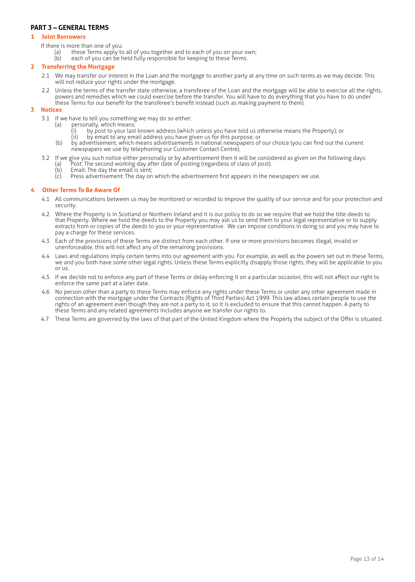# **PART 3 – GENERAL TERMS**

#### **1 Joint Borrowers**

- If there is more than one of you:
	- (a) these Terms apply to all of you together and to each of you on your own;<br>(b) each of you can be held fully responsible for keeping to these Terms.
	- each of you can be held fully responsible for keeping to these Terms.

### **2 Transferring the Mortgage**

- 2.1 We may transfer our interest in the Loan and the mortgage to another party at any time on such terms as we may decide. This will not reduce your rights under the mortgage.
- 2.2 Unless the terms of the transfer state otherwise, a transferee of the Loan and the mortgage will be able to exercise all the rights, powers and remedies which we could exercise before the transfer. You will have to do everything that you have to do under these Terms for our benefit for the transferee's benefit instead (such as making payment to them).

# **3 Notices**

- 3.1 If we have to tell you something we may do so either:
	- (a) personally, which means:
		- (i) by post to your last known address (which unless you have told us otherwise means the Property); or<br>(ii) by email to any email address you have given us for this purpose: or
		- by email to any email address you have given us for this purpose; or
		- (b) by advertisement, which means advertisements in national newspapers of our choice (you can find out the current newspapers we use by telephoning our Customer Contact Centre).
- 3.2 If we give you such notice either personally or by advertisement then it will be considered as given on the following days: (a) Post: The second working day after date of posting (regardless of class of post).
	- (b) Email: The day the email is sent;<br>(c) Press advertisement: The day or
	- Press advertisement: The day on which the advertisement first appears in the newspapers we use.

# **4 Other Terms To Be Aware Of**

- 4.1 All communications between us may be monitored or recorded to improve the quality of our service and for your protection and security.
- 4.2 Where the Property is in Scotland or Northern Ireland and it is our policy to do so we require that we hold the title deeds to that Property. Where we hold the deeds to the Property you may ask us to send them to your legal representative or to supply extracts from or copies of the deeds to you or your representative. We can impose conditions in doing so and you may have to pay a charge for these services.
- 4.3 Each of the provisions of these Terms are distinct from each other. If one or more provisions becomes illegal, invalid or unenforceable, this will not affect any of the remaining provisions.
- 4.4 Laws and regulations imply certain terms into our agreement with you. For example, as well as the powers set out in these Terms, we and you both have some other legal rights. Unless these Terms explicitly disapply those rights, they will be applicable to you or us.
- 4.5 If we decide not to enforce any part of these Terms or delay enforcing it on a particular occasion, this will not affect our right to enforce the same part at a later date.
- 4.6 No person other than a party to these Terms may enforce any rights under these Terms or under any other agreement made in connection with the mortgage under the Contracts (Rights of Third Parties) Act 1999. This law allows certain people to use the rights of an agreement even though they are not a party to it, so it is excluded to ensure that this cannot happen. A party to these Terms and any related agreements includes anyone we transfer our rights to.
- 4.7 These Terms are governed by the laws of that part of the United Kingdom where the Property the subject of the Offer is situated.